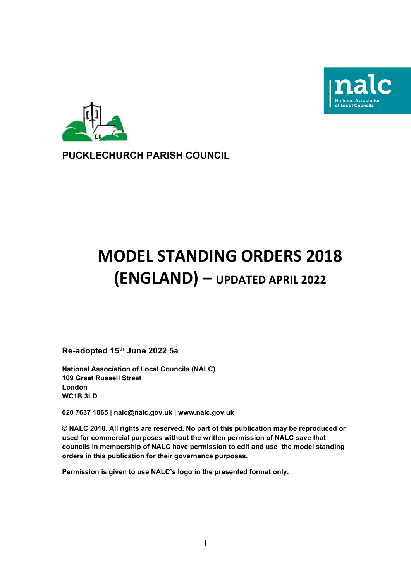



# **PUCKLECHURCH PARISH COUNCIL**

# **MODEL STANDING ORDERS 2018 (ENGLAND) – UPDATED APRIL 2022**

**Re-adopted 15 th June 2022 5a**

**National Association of Local Councils (NALC) 109 Great Russell Street London WC1B 3LD**

**020 7637 1865 | nalc@nalc.gov.uk | www.nalc.gov.uk**

**© NALC 2018. All rights are reserved. No part of this publication may be reproduced or used for commercial purposes without the written permission of NALC save that councils in membership of NALC have permission to edit and use the model standing orders in this publication for their governance purposes.** 

**Permission is given to use NALC's logo in the presented format only.**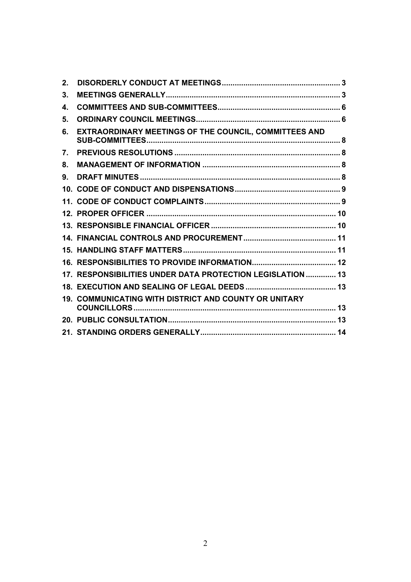| $2_{\cdot}$ |                                                            |  |
|-------------|------------------------------------------------------------|--|
| 3.          |                                                            |  |
| 4.          |                                                            |  |
| 5.          |                                                            |  |
| 6.          | EXTRAORDINARY MEETINGS OF THE COUNCIL, COMMITTEES AND      |  |
| 7.          |                                                            |  |
| 8.          |                                                            |  |
| 9.          |                                                            |  |
|             |                                                            |  |
|             |                                                            |  |
|             |                                                            |  |
|             |                                                            |  |
|             |                                                            |  |
|             |                                                            |  |
|             |                                                            |  |
|             | 17. RESPONSIBILITIES UNDER DATA PROTECTION LEGISLATION  13 |  |
|             |                                                            |  |
|             | 19. COMMUNICATING WITH DISTRICT AND COUNTY OR UNITARY      |  |
|             |                                                            |  |
|             |                                                            |  |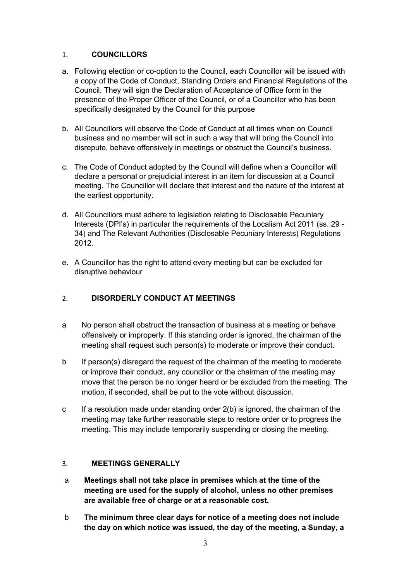#### 1. **COUNCILLORS**

- a. Following election or co-option to the Council, each Councillor will be issued with a copy of the Code of Conduct, Standing Orders and Financial Regulations of the Council. They will sign the Declaration of Acceptance of Office form in the presence of the Proper Officer of the Council, or of a Councillor who has been specifically designated by the Council for this purpose
- b. All Councillors will observe the Code of Conduct at all times when on Council business and no member will act in such a way that will bring the Council into disrepute, behave offensively in meetings or obstruct the Council's business.
- c. The Code of Conduct adopted by the Council will define when a Councillor will declare a personal or prejudicial interest in an item for discussion at a Council meeting. The Councillor will declare that interest and the nature of the interest at the earliest opportunity.
- d. All Councillors must adhere to legislation relating to Disclosable Pecuniary Interests (DPI's) in particular the requirements of the Localism Act 2011 (ss. 29 - 34) and The Relevant Authorities (Disclosable Pecuniary Interests) Regulations 2012.
- e. A Councillor has the right to attend every meeting but can be excluded for disruptive behaviour

# <span id="page-2-0"></span>2. **DISORDERLY CONDUCT AT MEETINGS**

- a No person shall obstruct the transaction of business at a meeting or behave offensively or improperly. If this standing order is ignored, the chairman of the meeting shall request such person(s) to moderate or improve their conduct.
- b If person(s) disregard the request of the chairman of the meeting to moderate or improve their conduct, any councillor or the chairman of the meeting may move that the person be no longer heard or be excluded from the meeting. The motion, if seconded, shall be put to the vote without discussion.
- c If a resolution made under standing order 2(b) is ignored, the chairman of the meeting may take further reasonable steps to restore order or to progress the meeting. This may include temporarily suspending or closing the meeting.

# <span id="page-2-1"></span>3. **MEETINGS GENERALLY**

- a **Meetings shall not take place in premises which at the time of the meeting are used for the supply of alcohol, unless no other premises are available free of charge or at a reasonable cost.**
- b **The minimum three clear days for notice of a meeting does not include the day on which notice was issued, the day of the meeting, a Sunday, a**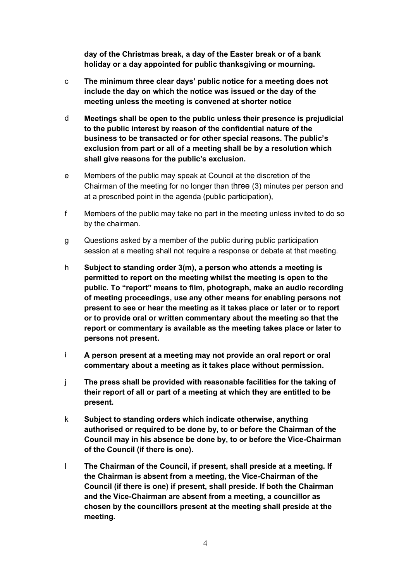**day of the Christmas break, a day of the Easter break or of a bank holiday or a day appointed for public thanksgiving or mourning.**

- c **The minimum three clear days' public notice for a meeting does not include the day on which the notice was issued or the day of the meeting unless the meeting is convened at shorter notice**
- d **Meetings shall be open to the public unless their presence is prejudicial to the public interest by reason of the confidential nature of the business to be transacted or for other special reasons. The public's exclusion from part or all of a meeting shall be by a resolution which shall give reasons for the public's exclusion.**
- e Members of the public may speak at Council at the discretion of the Chairman of the meeting for no longer than three (3) minutes per person and at a prescribed point in the agenda (public participation),
- f Members of the public may take no part in the meeting unless invited to do so by the chairman.
- g Questions asked by a member of the public during public participation session at a meeting shall not require a response or debate at that meeting.
- h **Subject to standing order 3(m), a person who attends a meeting is permitted to report on the meeting whilst the meeting is open to the public. To "report" means to film, photograph, make an audio recording of meeting proceedings, use any other means for enabling persons not present to see or hear the meeting as it takes place or later or to report or to provide oral or written commentary about the meeting so that the report or commentary is available as the meeting takes place or later to persons not present.**
- i **A person present at a meeting may not provide an oral report or oral commentary about a meeting as it takes place without permission.**
- j **The press shall be provided with reasonable facilities for the taking of their report of all or part of a meeting at which they are entitled to be present.**
- k **Subject to standing orders which indicate otherwise, anything authorised or required to be done by, to or before the Chairman of the Council may in his absence be done by, to or before the Vice-Chairman of the Council (if there is one).**
- l **The Chairman of the Council, if present, shall preside at a meeting. If the Chairman is absent from a meeting, the Vice-Chairman of the Council (if there is one) if present, shall preside. If both the Chairman and the Vice-Chairman are absent from a meeting, a councillor as chosen by the councillors present at the meeting shall preside at the meeting.**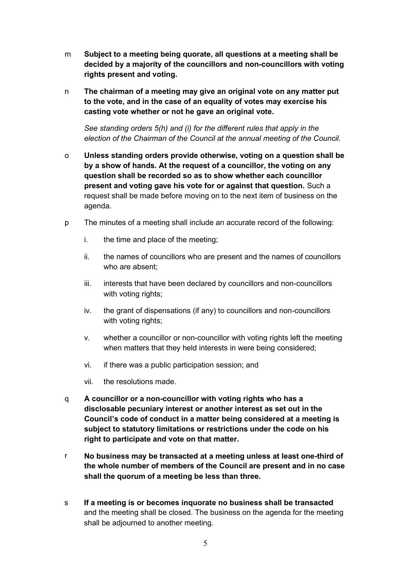- m **Subject to a meeting being quorate, all questions at a meeting shall be decided by a majority of the councillors and non-councillors with voting rights present and voting.**
- n **The chairman of a meeting may give an original vote on any matter put to the vote, and in the case of an equality of votes may exercise his casting vote whether or not he gave an original vote.**

*See standing orders 5(h) and (i) for the different rules that apply in the election of the Chairman of the Council at the annual meeting of the Council.*

- o **Unless standing orders provide otherwise, voting on a question shall be by a show of hands. At the request of a councillor, the voting on any question shall be recorded so as to show whether each councillor present and voting gave his vote for or against that question.** Such a request shall be made before moving on to the next item of business on the agenda.
- p The minutes of a meeting shall include an accurate record of the following:
	- i. the time and place of the meeting;
	- ii. the names of councillors who are present and the names of councillors who are absent;
	- iii. interests that have been declared by councillors and non-councillors with voting rights;
	- iv. the grant of dispensations (if any) to councillors and non-councillors with voting rights;
	- v. whether a councillor or non-councillor with voting rights left the meeting when matters that they held interests in were being considered;
	- vi. if there was a public participation session; and
	- vii. the resolutions made.
- q **A councillor or a non-councillor with voting rights who has a disclosable pecuniary interest or another interest as set out in the Council's code of conduct in a matter being considered at a meeting is subject to statutory limitations or restrictions under the code on his right to participate and vote on that matter.**
- r **No business may be transacted at a meeting unless at least one-third of the whole number of members of the Council are present and in no case shall the quorum of a meeting be less than three.**
- s **If a meeting is or becomes inquorate no business shall be transacted** and the meeting shall be closed. The business on the agenda for the meeting shall be adjourned to another meeting.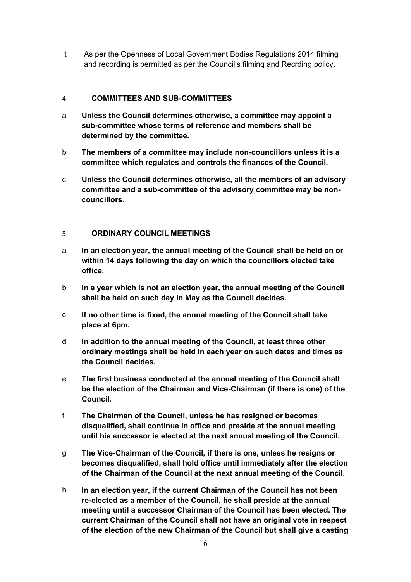t As per the Openness of Local Government Bodies Regulations 2014 filming and recording is permitted as per the Council's filming and Recrding policy.

### <span id="page-5-0"></span>4. **COMMITTEES AND SUB-COMMITTEES**

- a **Unless the Council determines otherwise, a committee may appoint a sub-committee whose terms of reference and members shall be determined by the committee.**
- b **The members of a committee may include non-councillors unless it is a committee which regulates and controls the finances of the Council.**
- c **Unless the Council determines otherwise, all the members of an advisory committee and a sub-committee of the advisory committee may be noncouncillors.**

#### <span id="page-5-1"></span>5. **ORDINARY COUNCIL MEETINGS**

- a **In an election year, the annual meeting of the Council shall be held on or within 14 days following the day on which the councillors elected take office.**
- b **In a year which is not an election year, the annual meeting of the Council shall be held on such day in May as the Council decides.**
- c **If no other time is fixed, the annual meeting of the Council shall take place at 6pm.**
- d **In addition to the annual meeting of the Council, at least three other ordinary meetings shall be held in each year on such dates and times as the Council decides.**
- e **The first business conducted at the annual meeting of the Council shall be the election of the Chairman and Vice-Chairman (if there is one) of the Council.**
- f **The Chairman of the Council, unless he has resigned or becomes disqualified, shall continue in office and preside at the annual meeting until his successor is elected at the next annual meeting of the Council.**
- g **The Vice-Chairman of the Council, if there is one, unless he resigns or becomes disqualified, shall hold office until immediately after the election of the Chairman of the Council at the next annual meeting of the Council.**
- h **In an election year, if the current Chairman of the Council has not been re-elected as a member of the Council, he shall preside at the annual meeting until a successor Chairman of the Council has been elected. The current Chairman of the Council shall not have an original vote in respect of the election of the new Chairman of the Council but shall give a casting**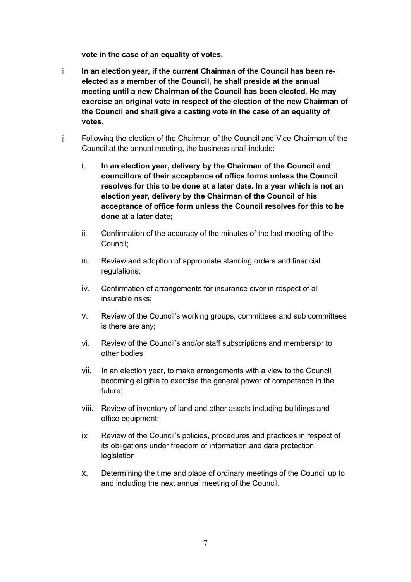**vote in the case of an equality of votes.**

- i **In an election year, if the current Chairman of the Council has been reelected as a member of the Council, he shall preside at the annual meeting until a new Chairman of the Council has been elected. He may exercise an original vote in respect of the election of the new Chairman of the Council and shall give a casting vote in the case of an equality of votes.**
- j Following the election of the Chairman of the Council and Vice-Chairman of the Council at the annual meeting, the business shall include:
	- i. **In an election year, delivery by the Chairman of the Council and councillors of their acceptance of office forms unless the Council resolves for this to be done at a later date. In a year which is not an election year, delivery by the Chairman of the Council of his acceptance of office form unless the Council resolves for this to be done at a later date;**
	- ii. Confirmation of the accuracy of the minutes of the last meeting of the Council;
	- iii. Review and adoption of appropriate standing orders and financial regulations;
	- iv. Confirmation of arrangements for insurance civer in respect of all insurable risks;
	- v. Review of the Council's working groups, committees and sub committees is there are any;
	- vi. Review of the Council's and/or staff subscriptions and membersipr to other bodies;
	- vii. In an election year, to make arrangements with a view to the Council becoming eligible to exercise the general power of competence in the future;
	- viii. Review of inventory of land and other assets including buildings and office equipment;
	- ix. Review of the Council's policies, procedures and practices in respect of its obligations under freedom of information and data protection legislation;
	- x. Determining the time and place of ordinary meetings of the Council up to and including the next annual meeting of the Council.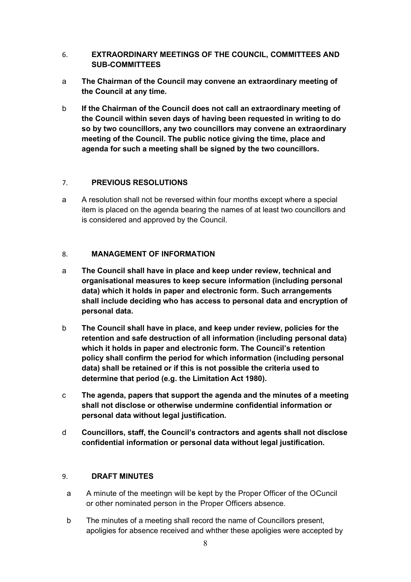- <span id="page-7-0"></span>6. **EXTRAORDINARY MEETINGS OF THE COUNCIL, COMMITTEES AND SUB-COMMITTEES**
- a **The Chairman of the Council may convene an extraordinary meeting of the Council at any time.**
- b **If the Chairman of the Council does not call an extraordinary meeting of the Council within seven days of having been requested in writing to do so by two councillors, any two councillors may convene an extraordinary meeting of the Council. The public notice giving the time, place and agenda for such a meeting shall be signed by the two councillors.**

# <span id="page-7-1"></span>7. **PREVIOUS RESOLUTIONS**

a A resolution shall not be reversed within four months except where a special item is placed on the agenda bearing the names of at least two councillors and is considered and approved by the Council.

# <span id="page-7-2"></span>8. **MANAGEMENT OF INFORMATION**

- a **The Council shall have in place and keep under review, technical and organisational measures to keep secure information (including personal data) which it holds in paper and electronic form. Such arrangements shall include deciding who has access to personal data and encryption of personal data.**
- b **The Council shall have in place, and keep under review, policies for the retention and safe destruction of all information (including personal data) which it holds in paper and electronic form. The Council's retention policy shall confirm the period for which information (including personal data) shall be retained or if this is not possible the criteria used to determine that period (e.g. the Limitation Act 1980).**
- c **The agenda, papers that support the agenda and the minutes of a meeting shall not disclose or otherwise undermine confidential information or personal data without legal justification.**
- d **Councillors, staff, the Council's contractors and agents shall not disclose confidential information or personal data without legal justification.**

# <span id="page-7-3"></span>9. **DRAFT MINUTES**

- a A minute of the meetingn will be kept by the Proper Officer of the OCuncil or other nominated person in the Proper Officers absence.
- b The minutes of a meeting shall record the name of Councillors present, apoligies for absence received and whther these apoligies were accepted by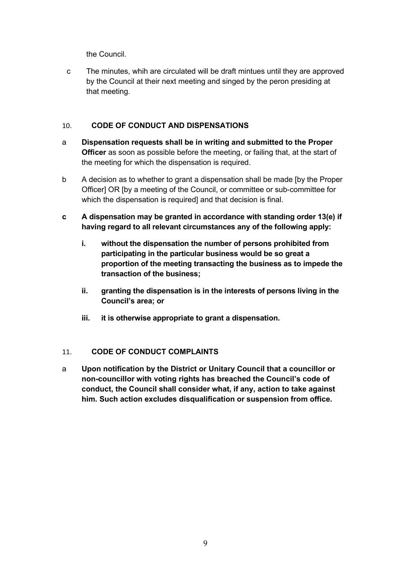the Council.

c The minutes, whih are circulated will be draft mintues until they are approved by the Council at their next meeting and singed by the peron presiding at that meeting.

# <span id="page-8-0"></span>10. **CODE OF CONDUCT AND DISPENSATIONS**

- a **Dispensation requests shall be in writing and submitted to the Proper Officer** as soon as possible before the meeting, or failing that, at the start of the meeting for which the dispensation is required.
- b A decision as to whether to grant a dispensation shall be made [by the Proper Officer] OR [by a meeting of the Council, or committee or sub-committee for which the dispensation is required] and that decision is final.
- **c A dispensation may be granted in accordance with standing order 13(e) if having regard to all relevant circumstances any of the following apply:**
	- **i. without the dispensation the number of persons prohibited from participating in the particular business would be so great a proportion of the meeting transacting the business as to impede the transaction of the business;**
	- **ii. granting the dispensation is in the interests of persons living in the Council's area; or**
	- **iii. it is otherwise appropriate to grant a dispensation.**

# <span id="page-8-1"></span>11. **CODE OF CONDUCT COMPLAINTS**

<span id="page-8-2"></span>a **Upon notification by the District or Unitary Council that a councillor or non-councillor with voting rights has breached the Council's code of conduct, the Council shall consider what, if any, action to take against him. Such action excludes disqualification or suspension from office.**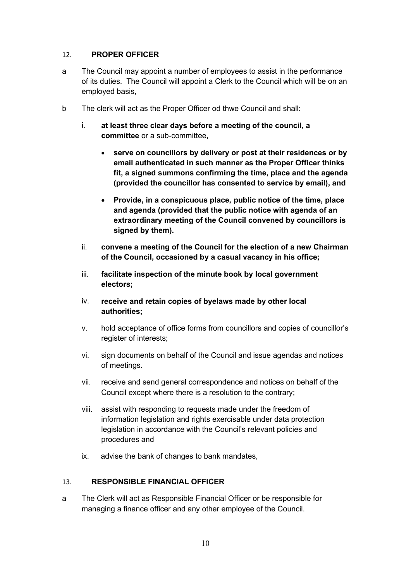#### 12. **PROPER OFFICER**

- a The Council may appoint a number of employees to assist in the performance of its duties. The Council will appoint a Clerk to the Council which will be on an employed basis,
- b The clerk will act as the Proper Officer od thwe Council and shall:
	- i. **at least three clear days before a meeting of the council, a committee** or a sub-committee**,**
		- **serve on councillors by delivery or post at their residences or by email authenticated in such manner as the Proper Officer thinks fit, a signed summons confirming the time, place and the agenda (provided the councillor has consented to service by email), and**
		- **Provide, in a conspicuous place, public notice of the time, place and agenda (provided that the public notice with agenda of an extraordinary meeting of the Council convened by councillors is signed by them).**
	- ii. **convene a meeting of the Council for the election of a new Chairman of the Council, occasioned by a casual vacancy in his office;**
	- iii. **facilitate inspection of the minute book by local government electors;**
	- iv. **receive and retain copies of byelaws made by other local authorities;**
	- v. hold acceptance of office forms from councillors and copies of councillor's register of interests;
	- vi. sign documents on behalf of the Council and issue agendas and notices of meetings.
	- vii. receive and send general correspondence and notices on behalf of the Council except where there is a resolution to the contrary;
	- viii. assist with responding to requests made under the freedom of information legislation and rights exercisable under data protection legislation in accordance with the Council's relevant policies and procedures and
	- ix. advise the bank of changes to bank mandates,

#### <span id="page-9-0"></span>13. **RESPONSIBLE FINANCIAL OFFICER**

a The Clerk will act as Responsible Financial Officer or be responsible for managing a finance officer and any other employee of the Council.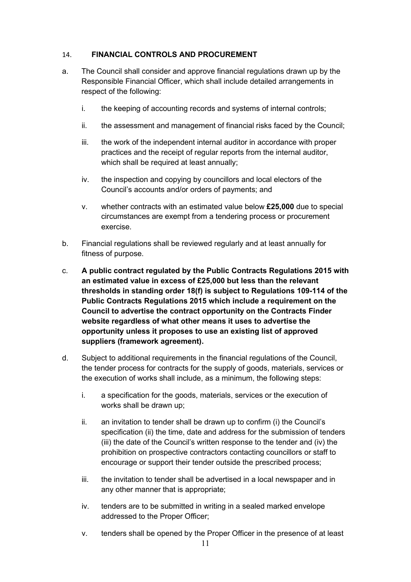#### <span id="page-10-0"></span>14. **FINANCIAL CONTROLS AND PROCUREMENT**

- a. The Council shall consider and approve financial regulations drawn up by the Responsible Financial Officer, which shall include detailed arrangements in respect of the following:
	- i. the keeping of accounting records and systems of internal controls;
	- ii. the assessment and management of financial risks faced by the Council;
	- iii. the work of the independent internal auditor in accordance with proper practices and the receipt of regular reports from the internal auditor, which shall be required at least annually;
	- iv. the inspection and copying by councillors and local electors of the Council's accounts and/or orders of payments; and
	- v. whether contracts with an estimated value below **£25,000** due to special circumstances are exempt from a tendering process or procurement exercise.
- b. Financial regulations shall be reviewed regularly and at least annually for fitness of purpose.
- c. **A public contract regulated by the Public Contracts Regulations 2015 with an estimated value in excess of £25,000 but less than the relevant thresholds in standing order 18(f) is subject to Regulations 109-114 of the Public Contracts Regulations 2015 which include a requirement on the Council to advertise the contract opportunity on the Contracts Finder website regardless of what other means it uses to advertise the opportunity unless it proposes to use an existing list of approved suppliers (framework agreement).**
- d. Subject to additional requirements in the financial regulations of the Council, the tender process for contracts for the supply of goods, materials, services or the execution of works shall include, as a minimum, the following steps:
	- i. a specification for the goods, materials, services or the execution of works shall be drawn up;
	- ii. an invitation to tender shall be drawn up to confirm (i) the Council's specification (ii) the time, date and address for the submission of tenders (iii) the date of the Council's written response to the tender and (iv) the prohibition on prospective contractors contacting councillors or staff to encourage or support their tender outside the prescribed process;
	- iii. the invitation to tender shall be advertised in a local newspaper and in any other manner that is appropriate;
	- iv. tenders are to be submitted in writing in a sealed marked envelope addressed to the Proper Officer;
	- v. tenders shall be opened by the Proper Officer in the presence of at least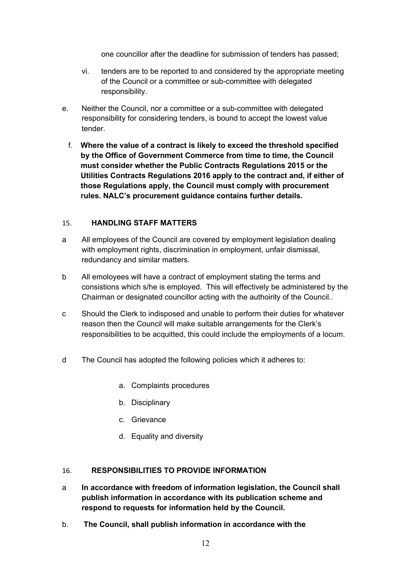one councillor after the deadline for submission of tenders has passed;

- vi. tenders are to be reported to and considered by the appropriate meeting of the Council or a committee or sub-committee with delegated responsibility.
- e. Neither the Council, nor a committee or a sub-committee with delegated responsibility for considering tenders, is bound to accept the lowest value tender.
	- f. **Where the value of a contract is likely to exceed the threshold specified by the Office of Government Commerce from time to time, the Council must consider whether the Public Contracts Regulations 2015 or the Utilities Contracts Regulations 2016 apply to the contract and, if either of those Regulations apply, the Council must comply with procurement rules. NALC's procurement guidance contains further details.**

#### <span id="page-11-0"></span>15. **HANDLING STAFF MATTERS**

- a All employees of the Council are covered by employment legislation dealing with employment rights, discrimination in employment, unfair dismissal, redundancy and similar matters.
- b All emoloyees will have a contract of employment stating the terms and consistions which s/he is employed. This will effectively be administered by the Chairman or designated councillor acting with the authoirity of the Council..
- c Should the Clerk to indisposed and unable to perform their duties for whatever reason then the Council will make suitable arrangements for the Clerk's responsibilities to be acquitted, this could include the employments of a locum.
- d The Council has adopted the following policies which it adheres to:
	- a. Complaints procedures
	- b. Disciplinary
	- c. Grievance
	- d. Equality and diversity

#### <span id="page-11-1"></span>16. **RESPONSIBILITIES TO PROVIDE INFORMATION**

- a **In accordance with freedom of information legislation, the Council shall publish information in accordance with its publication scheme and respond to requests for information held by the Council.**
- b. **The Council, shall publish information in accordance with the**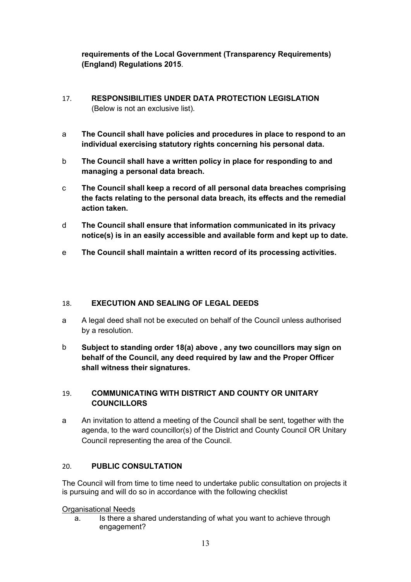# **requirements of the Local Government (Transparency Requirements) (England) Regulations 2015**.

- <span id="page-12-0"></span>17. **RESPONSIBILITIES UNDER DATA PROTECTION LEGISLATION**  (Below is not an exclusive list).
- a **The Council shall have policies and procedures in place to respond to an individual exercising statutory rights concerning his personal data.**
- b **The Council shall have a written policy in place for responding to and managing a personal data breach.**
- c **The Council shall keep a record of all personal data breaches comprising the facts relating to the personal data breach, its effects and the remedial action taken.**
- d **The Council shall ensure that information communicated in its privacy notice(s) is in an easily accessible and available form and kept up to date.**
- e **The Council shall maintain a written record of its processing activities.**

#### <span id="page-12-1"></span>18. **EXECUTION AND SEALING OF LEGAL DEEDS**

- a A legal deed shall not be executed on behalf of the Council unless authorised by a resolution.
- b **Subject to standing order 18(a) above , any two councillors may sign on behalf of the Council, any deed required by law and the Proper Officer shall witness their signatures.**

# <span id="page-12-2"></span>19. **COMMUNICATING WITH DISTRICT AND COUNTY OR UNITARY COUNCILLORS**

a An invitation to attend a meeting of the Council shall be sent, together with the agenda, to the ward councillor(s) of the District and County Council OR Unitary Council representing the area of the Council.

# 20. **PUBLIC CONSULTATION**

The Council will from time to time need to undertake public consultation on projects it is pursuing and will do so in accordance with the following checklist

#### Organisational Needs

a. Is there a shared understanding of what you want to achieve through engagement?